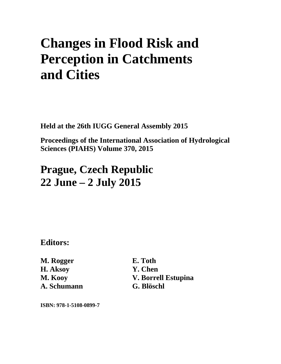# **Changes in Flood Risk and Perception in Catchments and Cities**

**Held at the 26th IUGG General Assembly 2015** 

**Proceedings of the International Association of Hydrological Sciences (PIAHS) Volume 370, 2015** 

## **Prague, Czech Republic 22 June – 2 July 2015**

**Editors:** 

**M. Rogger H. Aksoy M. Kooy A. Schumann**  **E. Toth Y. Chen V. Borrell Estupina G. Blöschl** 

**ISBN: 978-1-5108-0899-7**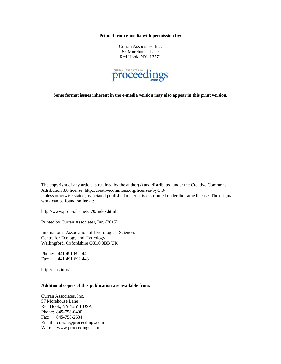**Printed from e-media with permission by:** 

Curran Associates, Inc. 57 Morehouse Lane Red Hook, NY 12571



**Some format issues inherent in the e-media version may also appear in this print version.** 

The copyright of any article is retained by the author(s) and distributed under the Creative Commons Attribution 3.0 license. http://creativecommons.org/licenses/by/3.0/ Unless otherwise stated, associated published material is distributed under the same license. The original work can be found online at:

http://www.proc-iahs.net/370/index.html

Printed by Curran Associates, Inc. (2015)

International Association of Hydrological Sciences Centre for Ecology and Hydrology Wallingford, Oxfordshire OX10 8BB UK

Phone: 441 491 692 442 Fax: 441 491 692 448

http://iahs.info/

#### **Additional copies of this publication are available from:**

Curran Associates, Inc. 57 Morehouse Lane Red Hook, NY 12571 USA Phone: 845-758-0400 Fax: 845-758-2634 Email: curran@proceedings.com Web: www.proceedings.com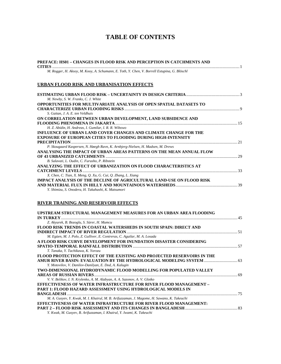### **TABLE OF CONTENTS**

| PREFACE: HS01 - CHANGES IN FLOOD RISK AND PERCEPTION IN CATCHMENTS AND                       |  |
|----------------------------------------------------------------------------------------------|--|
| M. Rogger, H. Aksoy, M. Kooy, A. Schumann, E. Toth, Y. Chen, V. Borrell Estupina, G. Blöschl |  |
|                                                                                              |  |
| URBAN FLOOD RISK AND URBANISATION EFFECTS                                                    |  |
|                                                                                              |  |
| M. Newby, S. W. Franks, C. J. White                                                          |  |
| <b>OPPORTUNITIES FOR MULTIVARIATE ANALYSIS OF OPEN SPATIAL DATASETS TO</b>                   |  |
|                                                                                              |  |
| S. Gaitan, J. A. E. ten Veldhuis                                                             |  |
| ON CORRELATION BETWEEN URBAN DEVELOPMENT, LAND SUBSIDENCE AND                                |  |
|                                                                                              |  |
| H. Z. Abidin, H. Andreas, I. Gumilar, I. R. R. Wibowo                                        |  |
| INFLUENCE OF URBAN LAND COVER CHANGES AND CLIMATE CHANGE FOR THE                             |  |
| <b>EXPOSURE OF EUROPEAN CITIES TO FLOODING DURING HIGH-INTENSITY</b>                         |  |
|                                                                                              |  |
| P. Skougaard Kaspersen, N. Høegh Ravn, K. Arnbjerg-Nielsen, H. Madsen, M. Drews              |  |
| ANALYSING THE IMPACT OF URBAN AREAS PATTERNS ON THE MEAN ANNUAL FLOW                         |  |
|                                                                                              |  |
| B. Salavati, L. Oudin, C. Furusho, P. Ribstein                                               |  |
| ANALYZING THE EFFECT OF URBANIZATION ON FLOOD CHARACTERISTICS AT                             |  |
|                                                                                              |  |
| X. Chen, C. Tian, X. Meng, Q. Xu, G. Cui, Q. Zhang, L. Xiang                                 |  |
| IMPACT ANALYSIS OF THE DECLINE OF AGRICULTURAL LAND-USE ON FLOOD RISK                        |  |
|                                                                                              |  |
| Y. Shimizu, S. Onodera, H. Takahashi, K. Matsumori                                           |  |

#### **RIVER TRAINING AND RESERVOIR EFFECTS**

| UPSTREAM STRUCTURAL MANAGEMENT MEASURES FOR AN URBAN AREA FLOODING                         |  |
|--------------------------------------------------------------------------------------------|--|
| <b>IN TURKEY</b>                                                                           |  |
| Z. Akyurek, B. Bozoglu, S. Sürer, H. Mumcu                                                 |  |
| FLOOD RISK TRENDS IN COASTAL WATERSHEDS IN SOUTH SPAIN: DIRECT AND                         |  |
|                                                                                            |  |
| M. Egüen, M. J. Polo, Z. Gulliver, E. Contreras, C. Aguilar, M. A. Losada                  |  |
| A FLOOD RISK CURVE DEVELOPMENT FOR INUNDATION DISASTER CONSIDERING                         |  |
|                                                                                            |  |
| T. Tanaka, Y. Tachikawa, K. Yorozu                                                         |  |
| FLOOD PROTECTION EFFECT OF THE EXISTING AND PROJECTED RESERVOIRS IN THE                    |  |
| AMUR RIVER BASIN: EVALUATION BY THE HYDROLOGICAL MODELING SYSTEM  63                       |  |
| Y. Motovilov, V. Danilov-Danilyan, E. Dod, A. Kalugin                                      |  |
| TWO-DIMENSIONAL HYDRODYNAMIC FLOOD MODELLING FOR POPULATED VALLEY                          |  |
|                                                                                            |  |
| V. V. Belikov, I. N. Krylenko, A. M. Alabyan, A. A. Sazonov, A. V. Glotko                  |  |
| EFFECTIVENESS OF WATER INFRASTRUCTURE FOR RIVER FLOOD MANAGEMENT -                         |  |
| PART 1: FLOOD HAZARD ASSESSMENT USING HYDROLOGICAL MODELS IN                               |  |
| <b>BANGLADESH</b>                                                                          |  |
| M. A. Gusyev, Y. Kwak, M. I. Khairul, M. B. Arifuzzaman, J. Magome, H. Sawano, K. Takeuchi |  |
| EFFECTIVENESS OF WATER INFRASTRUCTURE FOR RIVER FLOOD MANAGEMENT:                          |  |
|                                                                                            |  |
| Y. Kwak, M. Gusyev, B. Arifuzzaman, I. Khairul, Y. Iwami, K. Takeuchi                      |  |
|                                                                                            |  |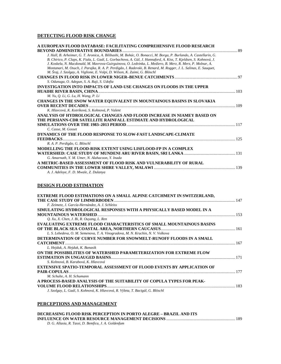#### **DETECTING FLOOD RISK CHANGE**

| A EUROPEAN FLOOD DATABASE: FACILITATING COMPREHENSIVE FLOOD RESEARCH                                               |  |
|--------------------------------------------------------------------------------------------------------------------|--|
|                                                                                                                    |  |
| J. Hall, B. Arheimer, G. T. Aronica, A. Bilibashi, M. Bohác, O. Bonacci, M. Borga, P. Burlando, A. Castellarin, G. |  |
| B. Chirico, P. Claps, K. Fiala, L. Gaál, L. Gorbachova, A. Gül, J. Hannaford, A. Kiss, T. Kjeldsen, S. Kohnová, J. |  |
| J. Koskela, N. Macdonald, M. Mavrova-Guirguinova, O. Ledvinka, L. Mediero, B. Merz, R. Merz, P. Molnar, A.         |  |
| Montanari, M. Osuch, J. Parajka, R. A. P. Perdigão, I. Radevski, B. Renard, M. Rogger, J. L. Salinas, E. Sauquet,  |  |
| M. Šraj, J. Szolgay, A. Viglione, E. Volpi, D. Wilson, K. Zaimi, G. Blöschl                                        |  |
|                                                                                                                    |  |
| S. Odunuga, O. Adegun, S. A. Raji, S. Udofia                                                                       |  |
| INVESTIGATION INTO IMPACTS OF LAND-USE CHANGES ON FLOODS IN THE UPPER                                              |  |
|                                                                                                                    |  |
| M. Yu, Q. Li, G. Lu, H. Wang, P. Li                                                                                |  |
| CHANGES IN THE SNOW WATER EQUIVALENT IN MOUNTAINOUS BASINS IN SLOVAKIA                                             |  |
|                                                                                                                    |  |
| K. Hlavcová, K. Kotríková, S. Kohnová, P. Valent                                                                   |  |
| ANALYSIS OF HYDROLOGICAL CHANGES AND FLOOD INCREASE IN NIAMEY BASED ON                                             |  |
| THE PERSIANN-CDR SATELLITE RAINFALL ESTIMATE AND HYDROLOGICAL                                                      |  |
|                                                                                                                    |  |
| C. Casse, M. Gosset                                                                                                |  |
| DYNAMICS OF THE FLOOD RESPONSE TO SLOW-FAST LANDSCAPE-CLIMATE                                                      |  |
|                                                                                                                    |  |
| R. A. P. Perdigão, G. Blöschl                                                                                      |  |
| MODELLING THE FLOOD-RISK EXTENT USING LISFLOOD-FP IN A COMPLEX                                                     |  |
|                                                                                                                    |  |
| G. Amarnath, Y. M. Umer, N. Alahacoon, Y. Inada                                                                    |  |
| A METRIC-BASED ASSESSMENT OF FLOOD RISK AND VULNERABILITY OF RURAL                                                 |  |
|                                                                                                                    |  |
| $1.7.11$ $1.7.11$ $1.7.11$                                                                                         |  |

*A. J. Adeloye, F. D. Mwale, Z. Dulanya* 

#### **DESIGN FLOOD ESTIMATION**

| <b>EXTREME FLOOD ESTIMATIONS ON A SMALL ALPINE CATCHMENT IN SWITZERLAND,</b>    |  |
|---------------------------------------------------------------------------------|--|
|                                                                                 |  |
| F. Zeimetz, J. García-Hernández, A. J. Schleiss                                 |  |
| SIMULATING HYDROLOGICAL RESPONSES WITH A PHYSICALLY BASED MODEL IN A            |  |
|                                                                                 |  |
| Q. Xu, X. Chen, J. Bi, R. Ouyang, L. Ren                                        |  |
| <b>EVALUATING EXTREME FLOOD CHARACTERISTICS OF SMALL MOUNTAINOUS BASINS</b>     |  |
|                                                                                 |  |
| L. S. Lebedeva, O. M. Semenova, T. A. Vinogradova, M. N. Kruchin, N. V. Volkova |  |
| DETERMINATION OF CURVE NUMBER FOR SNOWMELT-RUNOFF FLOODS IN A SMALL             |  |
|                                                                                 |  |
| L. Hejduk, A. Hejduk, K. Banasik                                                |  |
| ON THE POSSIBILITIES OF WATERSHED PARAMETERIZATION FOR EXTREME FLOW             |  |
|                                                                                 |  |
| S. Kohnová, B. Karabová, K. Hlavcová                                            |  |
| <b>EXTENSIVE SPATIO-TEMPORAL ASSESSMENT OF FLOOD EVENTS BY APPLICATION OF</b>   |  |
|                                                                                 |  |
| M. Schulte, A. H. Schumann                                                      |  |
| A PROCESS-BASED ANALYSIS OF THE SUITABILITY OF COPULA TYPES FOR PEAK-           |  |
|                                                                                 |  |
| J. Szolgay, L. Gaál, S. Kohnová, K. Hlavcová, R. Výleta, T. Bacigál, G. Blöschl |  |

#### **PERCEPTIONS AND MANAGEMENT**

| DECREASING FLOOD RISK PERCEPTION IN PORTO ALEGRE – BRAZIL AND ITS |  |
|-------------------------------------------------------------------|--|
|                                                                   |  |
| D. G. Allasia, R. Tassi, D. Bemfica, J. A. Goldenfum              |  |